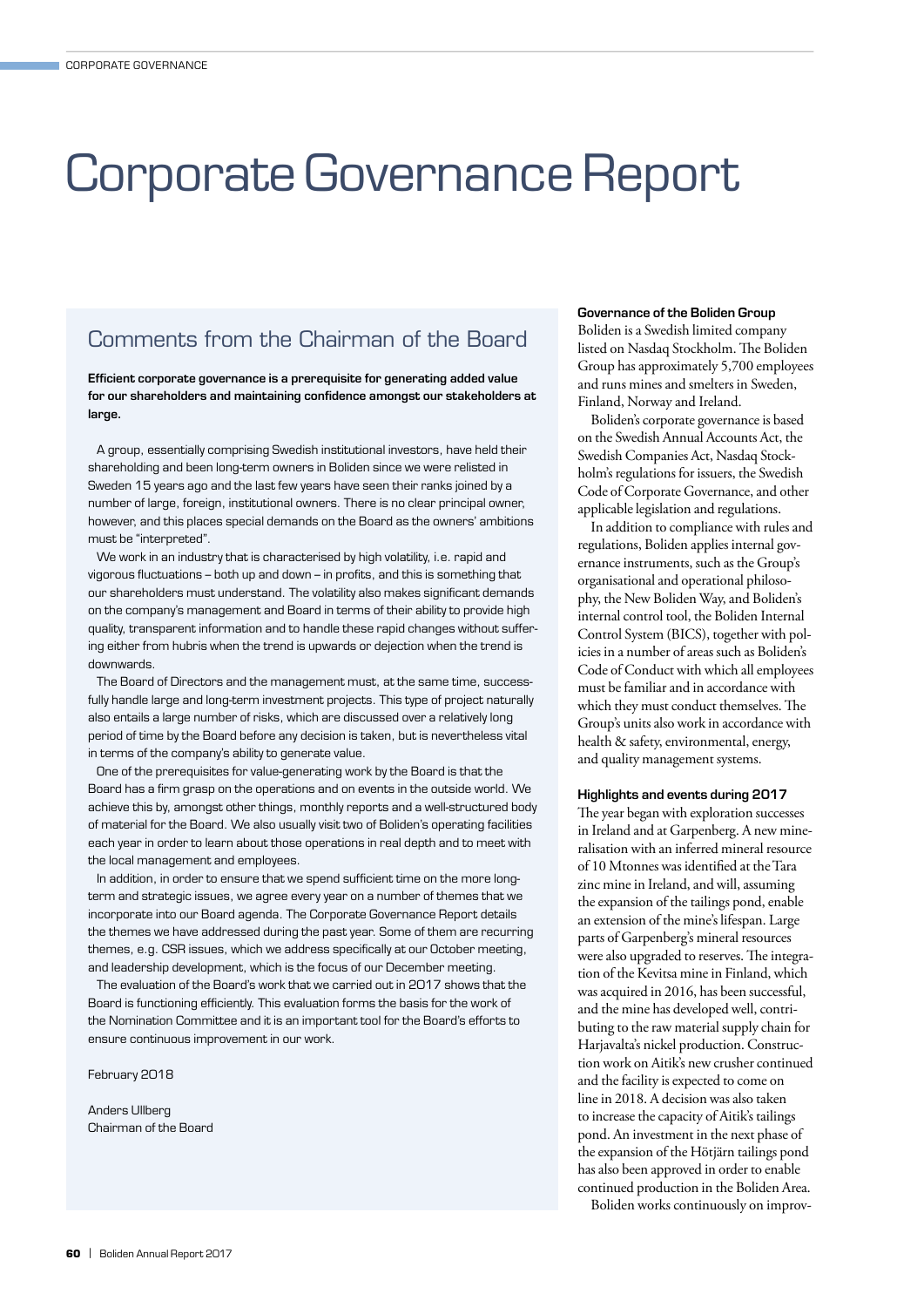# Corporate Governance Report

# Comments from the Chairman of the Board

Efficient corporate governance is a prerequisite for generating added value for our shareholders and maintaining confidence amongst our stakeholders at large.

A group, essentially comprising Swedish institutional investors, have held their shareholding and been long-term owners in Boliden since we were relisted in Sweden 15 years ago and the last few years have seen their ranks joined by a number of large, foreign, institutional owners. There is no clear principal owner, however, and this places special demands on the Board as the owners' ambitions must be "interpreted".

We work in an industry that is characterised by high volatility, i.e. rapid and vigorous fluctuations – both up and down – in profits, and this is something that our shareholders must understand. The volatility also makes significant demands on the company's management and Board in terms of their ability to provide high quality, transparent information and to handle these rapid changes without suffering either from hubris when the trend is upwards or dejection when the trend is downwards.

The Board of Directors and the management must, at the same time, successfully handle large and long-term investment projects. This type of project naturally also entails a large number of risks, which are discussed over a relatively long period of time by the Board before any decision is taken, but is nevertheless vital in terms of the company's ability to generate value.

One of the prerequisites for value-generating work by the Board is that the Board has a firm grasp on the operations and on events in the outside world. We achieve this by, amongst other things, monthly reports and a well-structured body of material for the Board. We also usually visit two of Boliden's operating facilities each year in order to learn about those operations in real depth and to meet with the local management and employees.

In addition, in order to ensure that we spend sufficient time on the more longterm and strategic issues, we agree every year on a number of themes that we incorporate into our Board agenda. The Corporate Governance Report details the themes we have addressed during the past year. Some of them are recurring themes, e.g. CSR issues, which we address specifically at our October meeting, and leadership development, which is the focus of our December meeting.

The evaluation of the Board's work that we carried out in 2017 shows that the Board is functioning efficiently. This evaluation forms the basis for the work of the Nomination Committee and it is an important tool for the Board's efforts to ensure continuous improvement in our work.

February 2018

Anders Ullberg Chairman of the Board

#### Governance of the Boliden Group

Boliden is a Swedish limited company listed on Nasdaq Stockholm. The Boliden Group has approximately 5,700 employees and runs mines and smelters in Sweden, Finland, Norway and Ireland.

Boliden's corporate governance is based on the Swedish Annual Accounts Act, the Swedish Companies Act, Nasdaq Stockholm's regulations for issuers, the Swedish Code of Corporate Governance, and other applicable legislation and regulations.

In addition to compliance with rules and regulations, Boliden applies internal governance instruments, such as the Group's organisational and operational philosophy, the New Boliden Way, and Boliden's internal control tool, the Boliden Internal Control System (BICS), together with policies in a number of areas such as Boliden's Code of Conduct with which all employees must be familiar and in accordance with which they must conduct themselves. The Group's units also work in accordance with health & safety, environmental, energy, and quality management systems.

#### Highlights and events during 2017

The year began with exploration successes in Ireland and at Garpenberg. A new mineralisation with an inferred mineral resource of 10 Mtonnes was identified at the Tara zinc mine in Ireland, and will, assuming the expansion of the tailings pond, enable an extension of the mine's lifespan. Large parts of Garpenberg's mineral resources were also upgraded to reserves. The integration of the Kevitsa mine in Finland, which was acquired in 2016, has been successful, and the mine has developed well, contributing to the raw material supply chain for Harjavalta's nickel production. Construction work on Aitik's new crusher continued and the facility is expected to come on line in 2018. A decision was also taken to increase the capacity of Aitik's tailings pond. An investment in the next phase of the expansion of the Hötjärn tailings pond has also been approved in order to enable continued production in the Boliden Area.

Boliden works continuously on improv-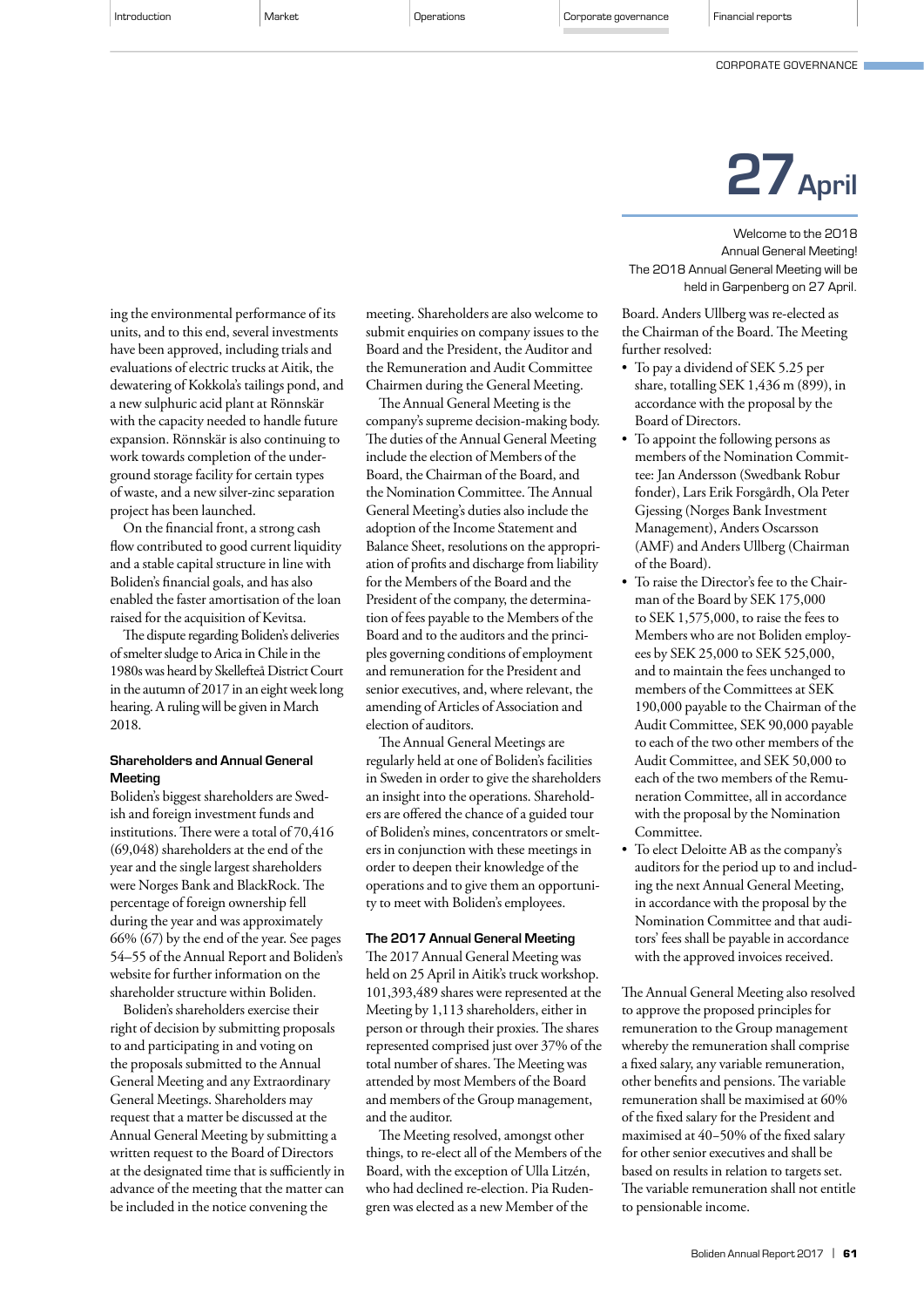CORPORATE GOVERNANCE

#### ing the environmental performance of its units, and to this end, several investments have been approved, including trials and evaluations of electric trucks at Aitik, the dewatering of Kokkola's tailings pond, and a new sulphuric acid plant at Rönnskär with the capacity needed to handle future expansion. Rönnskär is also continuing to work towards completion of the underground storage facility for certain types of waste, and a new silver-zinc separation project has been launched.

On the financial front, a strong cash flow contributed to good current liquidity and a stable capital structure in line with Boliden's financial goals, and has also enabled the faster amortisation of the loan raised for the acquisition of Kevitsa.

The dispute regarding Boliden's deliveries of smelter sludge to Arica in Chile in the 1980s was heard by Skellefteå District Court in the autumn of 2017 in an eight week long hearing. A ruling will be given in March 2018.

### Shareholders and Annual General Meeting

Boliden's biggest shareholders are Swedish and foreign investment funds and institutions. There were a total of 70,416 (69,048) shareholders at the end of the year and the single largest shareholders were Norges Bank and BlackRock. The percentage of foreign ownership fell during the year and was approximately 66% (67) by the end of the year. See pages 54–55 of the Annual Report and Boliden's website for further information on the shareholder structure within Boliden.

Boliden's shareholders exercise their right of decision by submitting proposals to and participating in and voting on the proposals submitted to the Annual General Meeting and any Extraordinary General Meetings. Shareholders may request that a matter be discussed at the Annual General Meeting by submitting a written request to the Board of Directors at the designated time that is sufficiently in advance of the meeting that the matter can be included in the notice convening the

meeting. Shareholders are also welcome to submit enquiries on company issues to the Board and the President, the Auditor and the Remuneration and Audit Committee Chairmen during the General Meeting.

The Annual General Meeting is the company's supreme decision-making body. The duties of the Annual General Meeting include the election of Members of the Board, the Chairman of the Board, and the Nomination Committee. The Annual General Meeting's duties also include the adoption of the Income Statement and Balance Sheet, resolutions on the appropriation of profits and discharge from liability for the Members of the Board and the President of the company, the determination of fees payable to the Members of the Board and to the auditors and the principles governing conditions of employment and remuneration for the President and senior executives, and, where relevant, the amending of Articles of Association and election of auditors.

The Annual General Meetings are regularly held at one of Boliden's facilities in Sweden in order to give the shareholders an insight into the operations. Shareholders are offered the chance of a guided tour of Boliden's mines, concentrators or smelters in conjunction with these meetings in order to deepen their knowledge of the operations and to give them an opportunity to meet with Boliden's employees.

#### The 2017 Annual General Meeting

The 2017 Annual General Meeting was held on 25 April in Aitik's truck workshop. 101,393,489 shares were represented at the Meeting by 1,113 shareholders, either in person or through their proxies. The shares represented comprised just over 37% of the total number of shares. The Meeting was attended by most Members of the Board and members of the Group management, and the auditor.

The Meeting resolved, amongst other things, to re-elect all of the Members of the Board, with the exception of Ulla Litzén, who had declined re-election. Pia Rudengren was elected as a new Member of the

# 27April

Welcome to the 2018 Annual General Meeting! The 2018 Annual General Meeting will be held in Garpenberg on 27 April.

Board. Anders Ullberg was re-elected as the Chairman of the Board. The Meeting further resolved:

- To pay a dividend of SEK 5.25 per share, totalling SEK 1,436 m (899), in accordance with the proposal by the Board of Directors.
- To appoint the following persons as members of the Nomination Committee: Jan Andersson (Swedbank Robur fonder), Lars Erik Forsgårdh, Ola Peter Gjessing (Norges Bank Investment Management), Anders Oscarsson (AMF) and Anders Ullberg (Chairman of the Board).
- To raise the Director's fee to the Chairman of the Board by SEK 175,000 to SEK 1,575,000, to raise the fees to Members who are not Boliden employees by SEK 25,000 to SEK 525,000, and to maintain the fees unchanged to members of the Committees at SEK 190,000 payable to the Chairman of the Audit Committee, SEK 90,000 payable to each of the two other members of the Audit Committee, and SEK 50,000 to each of the two members of the Remuneration Committee, all in accordance with the proposal by the Nomination Committee.
- To elect Deloitte AB as the company's auditors for the period up to and including the next Annual General Meeting, in accordance with the proposal by the Nomination Committee and that auditors' fees shall be payable in accordance with the approved invoices received.

The Annual General Meeting also resolved to approve the proposed principles for remuneration to the Group management whereby the remuneration shall comprise a fixed salary, any variable remuneration, other benefits and pensions. The variable remuneration shall be maximised at 60% of the fixed salary for the President and maximised at 40−50% of the fixed salary for other senior executives and shall be based on results in relation to targets set. The variable remuneration shall not entitle to pensionable income.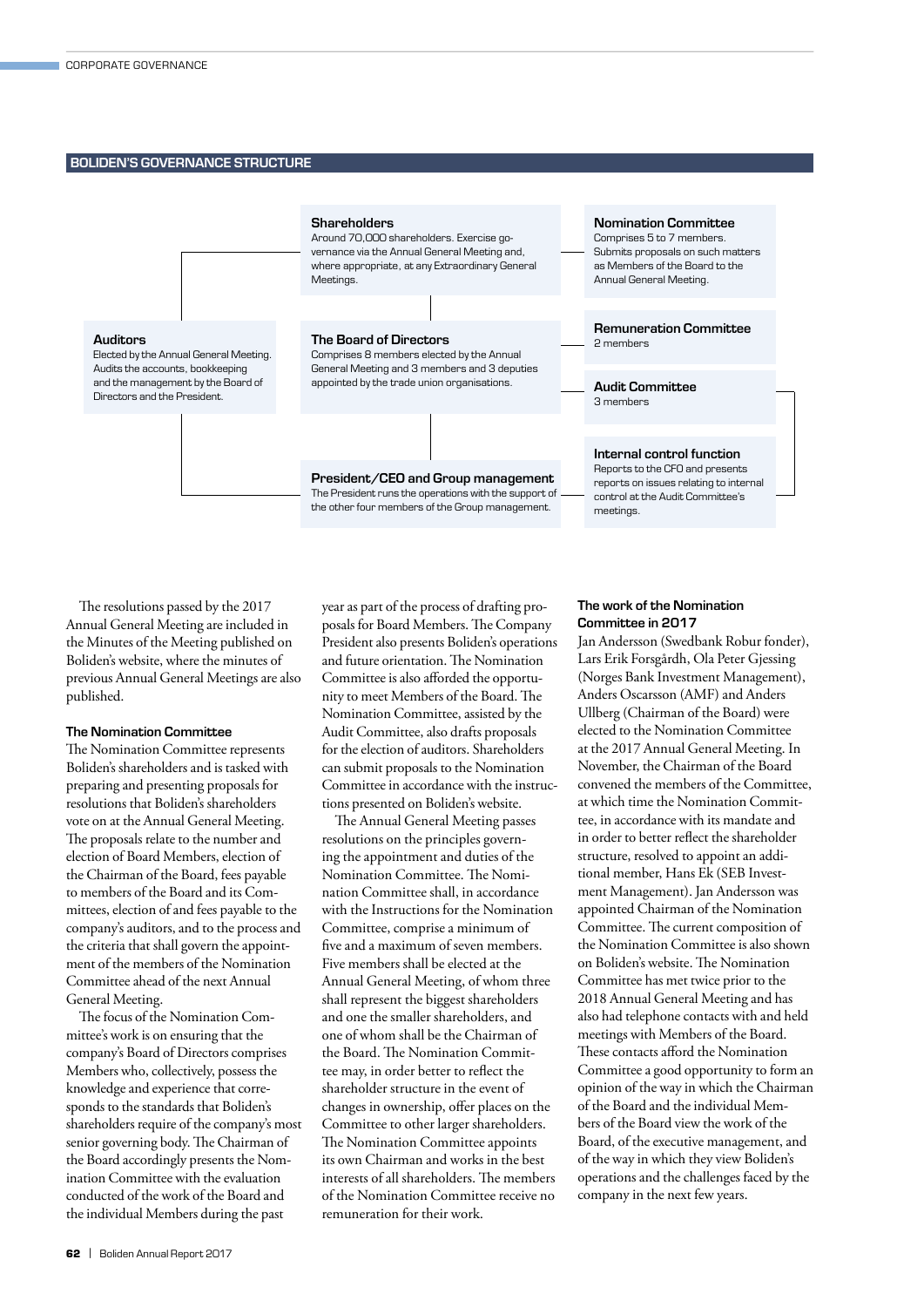#### BOLIDEN'S GOVERNANCE STRUCTURE



The resolutions passed by the 2017 Annual General Meeting are included in the Minutes of the Meeting published on Boliden's website, where the minutes of previous Annual General Meetings are also published.

#### The Nomination Committee

The Nomination Committee represents Boliden's shareholders and is tasked with preparing and presenting proposals for resolutions that Boliden's shareholders vote on at the Annual General Meeting. The proposals relate to the number and election of Board Members, election of the Chairman of the Board, fees payable to members of the Board and its Committees, election of and fees payable to the company's auditors, and to the process and the criteria that shall govern the appointment of the members of the Nomination Committee ahead of the next Annual General Meeting.

The focus of the Nomination Committee's work is on ensuring that the company's Board of Directors comprises Members who, collectively, possess the knowledge and experience that corresponds to the standards that Boliden's shareholders require of the company's most senior governing body. The Chairman of the Board accordingly presents the Nomination Committee with the evaluation conducted of the work of the Board and the individual Members during the past

year as part of the process of drafting proposals for Board Members. The Company President also presents Boliden's operations and future orientation. The Nomination Committee is also afforded the opportunity to meet Members of the Board. The Nomination Committee, assisted by the Audit Committee, also drafts proposals for the election of auditors. Shareholders can submit proposals to the Nomination Committee in accordance with the instructions presented on Boliden's website.

The Annual General Meeting passes resolutions on the principles governing the appointment and duties of the Nomination Committee. The Nomination Committee shall, in accordance with the Instructions for the Nomination Committee, comprise a minimum of five and a maximum of seven members. Five members shall be elected at the Annual General Meeting, of whom three shall represent the biggest shareholders and one the smaller shareholders, and one of whom shall be the Chairman of the Board. The Nomination Committee may, in order better to reflect the shareholder structure in the event of changes in ownership, offer places on the Committee to other larger shareholders. The Nomination Committee appoints its own Chairman and works in the best interests of all shareholders. The members of the Nomination Committee receive no remuneration for their work.

#### The work of the Nomination Committee in 2017

Jan Andersson (Swedbank Robur fonder), Lars Erik Forsgårdh, Ola Peter Gjessing (Norges Bank Investment Management), Anders Oscarsson (AMF) and Anders Ullberg (Chairman of the Board) were elected to the Nomination Committee at the 2017 Annual General Meeting. In November, the Chairman of the Board convened the members of the Committee, at which time the Nomination Committee, in accordance with its mandate and in order to better reflect the shareholder structure, resolved to appoint an additional member, Hans Ek (SEB Investment Management). Jan Andersson was appointed Chairman of the Nomination Committee. The current composition of the Nomination Committee is also shown on Boliden's website. The Nomination Committee has met twice prior to the 2018 Annual General Meeting and has also had telephone contacts with and held meetings with Members of the Board. These contacts afford the Nomination Committee a good opportunity to form an opinion of the way in which the Chairman of the Board and the individual Members of the Board view the work of the Board, of the executive management, and of the way in which they view Boliden's operations and the challenges faced by the company in the next few years.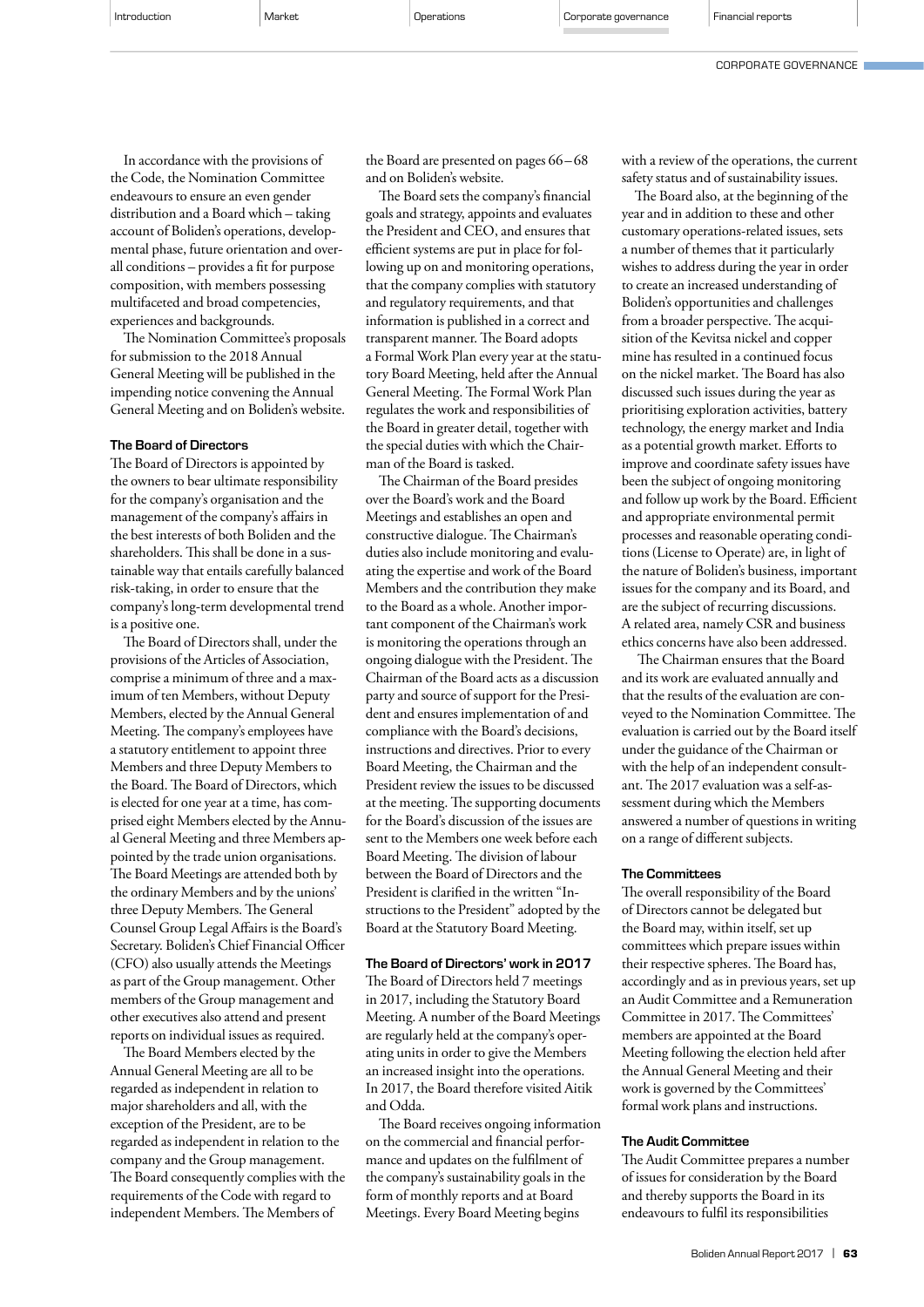In accordance with the provisions of the Code, the Nomination Committee endeavours to ensure an even gender distribution and a Board which – taking account of Boliden's operations, developmental phase, future orientation and overall conditions – provides a fit for purpose composition, with members possessing multifaceted and broad competencies, experiences and backgrounds.

The Nomination Committee's proposals for submission to the 2018 Annual General Meeting will be published in the impending notice convening the Annual General Meeting and on Boliden's website.

#### The Board of Directors

The Board of Directors is appointed by the owners to bear ultimate responsibility for the company's organisation and the management of the company's affairs in the best interests of both Boliden and the shareholders. This shall be done in a sustainable way that entails carefully balanced risk-taking, in order to ensure that the company's long-term developmental trend is a positive one.

The Board of Directors shall, under the provisions of the Articles of Association, comprise a minimum of three and a maximum of ten Members, without Deputy Members, elected by the Annual General Meeting. The company's employees have a statutory entitlement to appoint three Members and three Deputy Members to the Board. The Board of Directors, which is elected for one year at a time, has comprised eight Members elected by the Annual General Meeting and three Members appointed by the trade union organisations. The Board Meetings are attended both by the ordinary Members and by the unions' three Deputy Members. The General Counsel Group Legal Affairs is the Board's Secretary. Boliden's Chief Financial Officer (CFO) also usually attends the Meetings as part of the Group management. Other members of the Group management and other executives also attend and present reports on individual issues as required.

The Board Members elected by the Annual General Meeting are all to be regarded as independent in relation to major shareholders and all, with the exception of the President, are to be regarded as independent in relation to the company and the Group management. The Board consequently complies with the requirements of the Code with regard to independent Members. The Members of

the Board are presented on pages 66–68 and on Boliden's website.

The Board sets the company's financial goals and strategy, appoints and evaluates the President and CEO, and ensures that efficient systems are put in place for following up on and monitoring operations, that the company complies with statutory and regulatory requirements, and that information is published in a correct and transparent manner. The Board adopts a Formal Work Plan every year at the statutory Board Meeting, held after the Annual General Meeting. The Formal Work Plan regulates the work and responsibilities of the Board in greater detail, together with the special duties with which the Chairman of the Board is tasked.

The Chairman of the Board presides over the Board's work and the Board Meetings and establishes an open and constructive dialogue. The Chairman's duties also include monitoring and evaluating the expertise and work of the Board Members and the contribution they make to the Board as a whole. Another important component of the Chairman's work is monitoring the operations through an ongoing dialogue with the President. The Chairman of the Board acts as a discussion party and source of support for the President and ensures implementation of and compliance with the Board's decisions, instructions and directives. Prior to every Board Meeting, the Chairman and the President review the issues to be discussed at the meeting. The supporting documents for the Board's discussion of the issues are sent to the Members one week before each Board Meeting. The division of labour between the Board of Directors and the President is clarified in the written "Instructions to the President" adopted by the Board at the Statutory Board Meeting.

# The Board of Directors' work in 2017

The Board of Directors held 7 meetings in 2017, including the Statutory Board Meeting. A number of the Board Meetings are regularly held at the company's operating units in order to give the Members an increased insight into the operations. In 2017, the Board therefore visited Aitik and Odda.

The Board receives ongoing information on the commercial and financial performance and updates on the fulfilment of the company's sustainability goals in the form of monthly reports and at Board Meetings. Every Board Meeting begins

with a review of the operations, the current safety status and of sustainability issues.

The Board also, at the beginning of the year and in addition to these and other customary operations-related issues, sets a number of themes that it particularly wishes to address during the year in order to create an increased understanding of Boliden's opportunities and challenges from a broader perspective. The acquisition of the Kevitsa nickel and copper mine has resulted in a continued focus on the nickel market. The Board has also discussed such issues during the year as prioritising exploration activities, battery technology, the energy market and India as a potential growth market. Efforts to improve and coordinate safety issues have been the subject of ongoing monitoring and follow up work by the Board. Efficient and appropriate environmental permit processes and reasonable operating conditions (License to Operate) are, in light of the nature of Boliden's business, important issues for the company and its Board, and are the subject of recurring discussions. A related area, namely CSR and business ethics concerns have also been addressed.

 The Chairman ensures that the Board and its work are evaluated annually and that the results of the evaluation are conveyed to the Nomination Committee. The evaluation is carried out by the Board itself under the guidance of the Chairman or with the help of an independent consultant. The 2017 evaluation was a self-assessment during which the Members answered a number of questions in writing on a range of different subjects.

#### The Committees

The overall responsibility of the Board of Directors cannot be delegated but the Board may, within itself, set up committees which prepare issues within their respective spheres. The Board has, accordingly and as in previous years, set up an Audit Committee and a Remuneration Committee in 2017. The Committees' members are appointed at the Board Meeting following the election held after the Annual General Meeting and their work is governed by the Committees' formal work plans and instructions.

#### The Audit Committee

The Audit Committee prepares a number of issues for consideration by the Board and thereby supports the Board in its endeavours to fulfil its responsibilities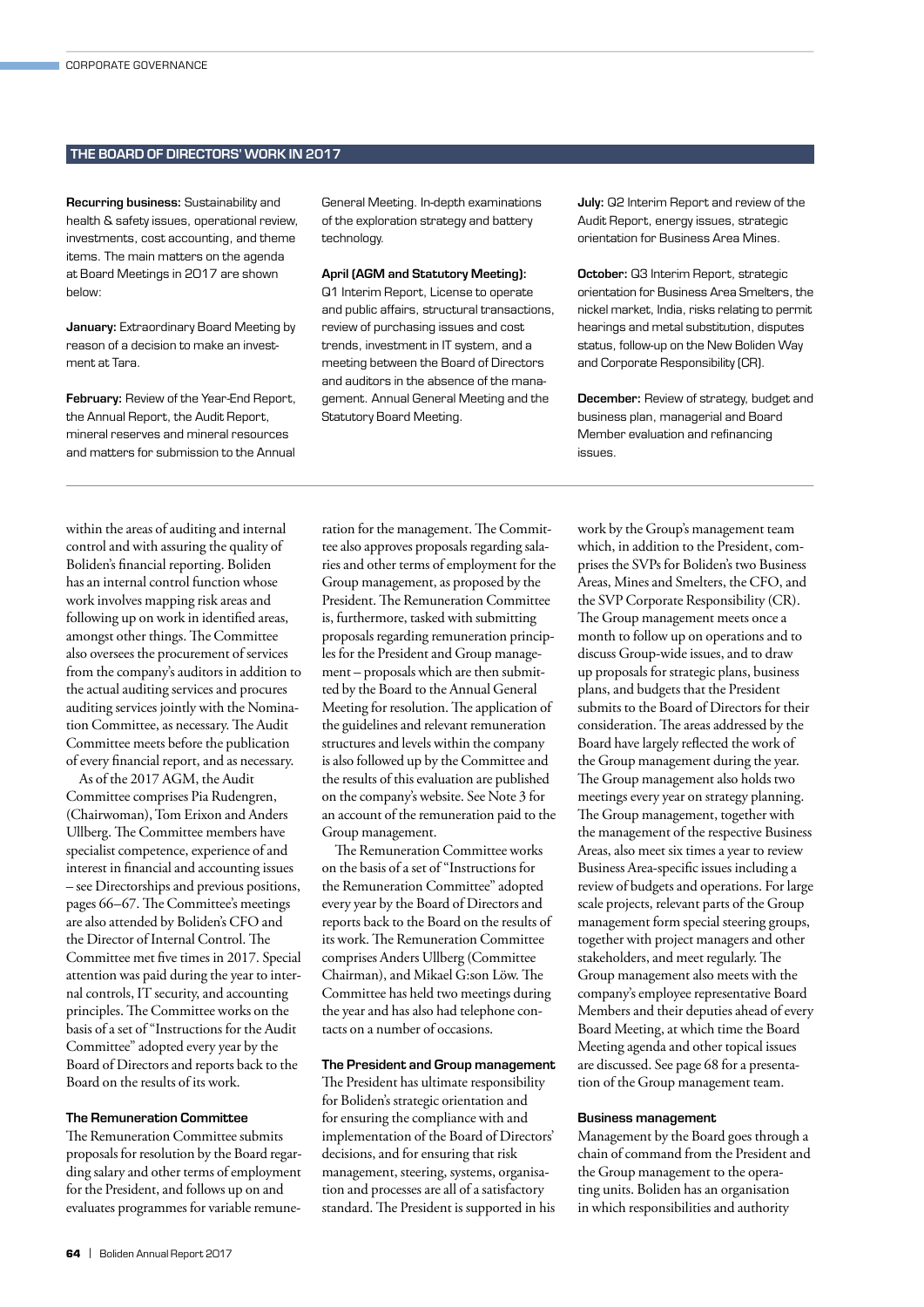#### THE BOARD OF DIRECTORS' WORK IN 2017

Recurring business: Sustainability and health & safety issues, operational review, investments, cost accounting, and theme items. The main matters on the agenda at Board Meetings in 2017 are shown below:

**January: Extraordinary Board Meeting by** reason of a decision to make an investment at Tara.

February: Review of the Year-End Report, the Annual Report, the Audit Report, mineral reserves and mineral resources and matters for submission to the Annual General Meeting. In-depth examinations of the exploration strategy and battery technology.

#### April (AGM and Statutory Meeting):

Q1 Interim Report, License to operate and public affairs, structural transactions, review of purchasing issues and cost trends, investment in IT system, and a meeting between the Board of Directors and auditors in the absence of the management. Annual General Meeting and the Statutory Board Meeting.

July: Q2 Interim Report and review of the Audit Report, energy issues, strategic orientation for Business Area Mines.

October: Q3 Interim Report, strategic orientation for Business Area Smelters, the nickel market, India, risks relating to permit hearings and metal substitution, disputes status, follow-up on the New Boliden Way and Corporate Responsibility (CR).

December: Review of strategy, budget and business plan, managerial and Board Member evaluation and refinancing issues.

within the areas of auditing and internal control and with assuring the quality of Boliden's financial reporting. Boliden has an internal control function whose work involves mapping risk areas and following up on work in identified areas, amongst other things. The Committee also oversees the procurement of services from the company's auditors in addition to the actual auditing services and procures auditing services jointly with the Nomination Committee, as necessary. The Audit Committee meets before the publication of every financial report, and as necessary.

As of the 2017 AGM, the Audit Committee comprises Pia Rudengren, (Chairwoman), Tom Erixon and Anders Ullberg. The Committee members have specialist competence, experience of and interest in financial and accounting issues – see Directorships and previous positions, pages 66–67. The Committee's meetings are also attended by Boliden's CFO and the Director of Internal Control. The Committee met five times in 2017. Special attention was paid during the year to internal controls, IT security, and accounting principles. The Committee works on the basis of a set of "Instructions for the Audit Committee" adopted every year by the Board of Directors and reports back to the Board on the results of its work.

#### The Remuneration Committee

The Remuneration Committee submits proposals for resolution by the Board regarding salary and other terms of employment for the President, and follows up on and evaluates programmes for variable remuneration for the management. The Committee also approves proposals regarding salaries and other terms of employment for the Group management, as proposed by the President. The Remuneration Committee is, furthermore, tasked with submitting proposals regarding remuneration principles for the President and Group management – proposals which are then submitted by the Board to the Annual General Meeting for resolution. The application of the guidelines and relevant remuneration structures and levels within the company is also followed up by the Committee and the results of this evaluation are published on the company's website. See Note 3 for an account of the remuneration paid to the Group management.

The Remuneration Committee works on the basis of a set of "Instructions for the Remuneration Committee" adopted every year by the Board of Directors and reports back to the Board on the results of its work. The Remuneration Committee comprises Anders Ullberg (Committee Chairman), and Mikael G:son Löw. The Committee has held two meetings during the year and has also had telephone contacts on a number of occasions.

### The President and Group management

The President has ultimate responsibility for Boliden's strategic orientation and for ensuring the compliance with and implementation of the Board of Directors' decisions, and for ensuring that risk management, steering, systems, organisation and processes are all of a satisfactory standard. The President is supported in his work by the Group's management team which, in addition to the President, comprises the SVPs for Boliden's two Business Areas, Mines and Smelters, the CFO, and the SVP Corporate Responsibility (CR). The Group management meets once a month to follow up on operations and to discuss Group-wide issues, and to draw up proposals for strategic plans, business plans, and budgets that the President submits to the Board of Directors for their consideration. The areas addressed by the Board have largely reflected the work of the Group management during the year. The Group management also holds two meetings every year on strategy planning. The Group management, together with the management of the respective Business Areas, also meet six times a year to review Business Area-specific issues including a review of budgets and operations. For large scale projects, relevant parts of the Group management form special steering groups, together with project managers and other stakeholders, and meet regularly. The Group management also meets with the company's employee representative Board Members and their deputies ahead of every Board Meeting, at which time the Board Meeting agenda and other topical issues are discussed. See page 68 for a presentation of the Group management team.

#### Business management

Management by the Board goes through a chain of command from the President and the Group management to the operating units. Boliden has an organisation in which responsibilities and authority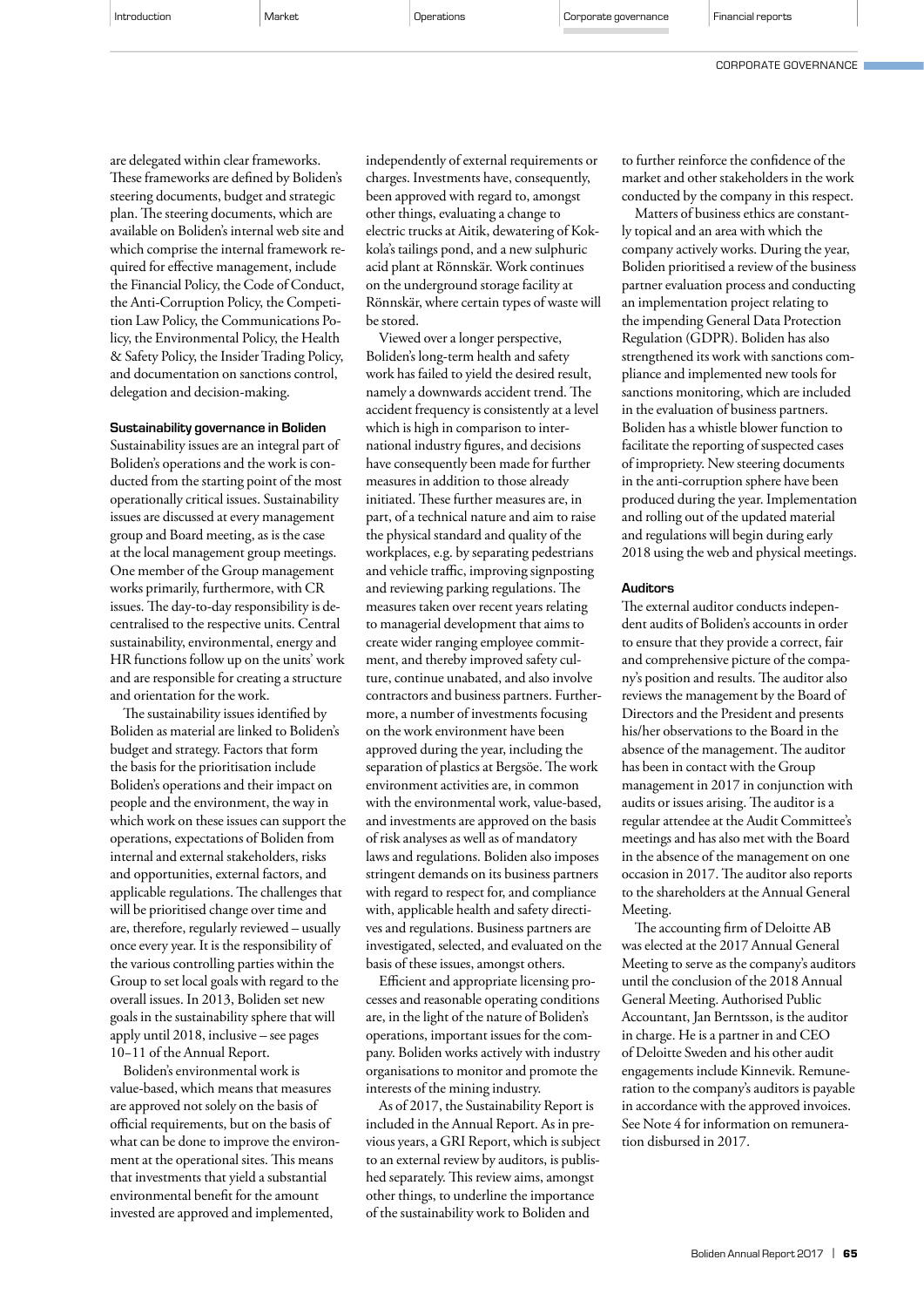CORPORATE GOVERNANCE

are delegated within clear frameworks. These frameworks are defined by Boliden's steering documents, budget and strategic plan. The steering documents, which are available on Boliden's internal web site and which comprise the internal framework required for effective management, include the Financial Policy, the Code of Conduct, the Anti-Corruption Policy, the Competition Law Policy, the Communications Policy, the Environmental Policy, the Health & Safety Policy, the Insider Trading Policy, and documentation on sanctions control, delegation and decision-making.

#### Sustainability governance in Boliden

Sustainability issues are an integral part of Boliden's operations and the work is conducted from the starting point of the most operationally critical issues. Sustainability issues are discussed at every management group and Board meeting, as is the case at the local management group meetings. One member of the Group management works primarily, furthermore, with CR issues. The day-to-day responsibility is decentralised to the respective units. Central sustainability, environmental, energy and HR functions follow up on the units' work and are responsible for creating a structure and orientation for the work.

The sustainability issues identified by Boliden as material are linked to Boliden's budget and strategy. Factors that form the basis for the prioritisation include Boliden's operations and their impact on people and the environment, the way in which work on these issues can support the operations, expectations of Boliden from internal and external stakeholders, risks and opportunities, external factors, and applicable regulations. The challenges that will be prioritised change over time and are, therefore, regularly reviewed – usually once every year. It is the responsibility of the various controlling parties within the Group to set local goals with regard to the overall issues. In 2013, Boliden set new goals in the sustainability sphere that will apply until 2018, inclusive – see pages 10−11 of the Annual Report.

Boliden's environmental work is value-based, which means that measures are approved not solely on the basis of official requirements, but on the basis of what can be done to improve the environment at the operational sites. This means that investments that yield a substantial environmental benefit for the amount invested are approved and implemented,

independently of external requirements or charges. Investments have, consequently, been approved with regard to, amongst other things, evaluating a change to electric trucks at Aitik, dewatering of Kokkola's tailings pond, and a new sulphuric acid plant at Rönnskär. Work continues on the underground storage facility at Rönnskär, where certain types of waste will be stored.

Viewed over a longer perspective, Boliden's long-term health and safety work has failed to yield the desired result, namely a downwards accident trend. The accident frequency is consistently at a level which is high in comparison to international industry figures, and decisions have consequently been made for further measures in addition to those already initiated. These further measures are, in part, of a technical nature and aim to raise the physical standard and quality of the workplaces, e.g. by separating pedestrians and vehicle traffic, improving signposting and reviewing parking regulations. The measures taken over recent years relating to managerial development that aims to create wider ranging employee commitment, and thereby improved safety culture, continue unabated, and also involve contractors and business partners. Furthermore, a number of investments focusing on the work environment have been approved during the year, including the separation of plastics at Bergsöe. The work environment activities are, in common with the environmental work, value-based, and investments are approved on the basis of risk analyses as well as of mandatory laws and regulations. Boliden also imposes stringent demands on its business partners with regard to respect for, and compliance with, applicable health and safety directives and regulations. Business partners are investigated, selected, and evaluated on the basis of these issues, amongst others.

Efficient and appropriate licensing processes and reasonable operating conditions are, in the light of the nature of Boliden's operations, important issues for the company. Boliden works actively with industry organisations to monitor and promote the interests of the mining industry.

As of 2017, the Sustainability Report is included in the Annual Report. As in previous years, a GRI Report, which is subject to an external review by auditors, is published separately. This review aims, amongst other things, to underline the importance of the sustainability work to Boliden and

to further reinforce the confidence of the market and other stakeholders in the work conducted by the company in this respect.

Matters of business ethics are constantly topical and an area with which the company actively works. During the year, Boliden prioritised a review of the business partner evaluation process and conducting an implementation project relating to the impending General Data Protection Regulation (GDPR). Boliden has also strengthened its work with sanctions compliance and implemented new tools for sanctions monitoring, which are included in the evaluation of business partners. Boliden has a whistle blower function to facilitate the reporting of suspected cases of impropriety. New steering documents in the anti-corruption sphere have been produced during the year. Implementation and rolling out of the updated material and regulations will begin during early 2018 using the web and physical meetings.

#### **Auditors**

The external auditor conducts independent audits of Boliden's accounts in order to ensure that they provide a correct, fair and comprehensive picture of the company's position and results. The auditor also reviews the management by the Board of Directors and the President and presents his/her observations to the Board in the absence of the management. The auditor has been in contact with the Group management in 2017 in conjunction with audits or issues arising. The auditor is a regular attendee at the Audit Committee's meetings and has also met with the Board in the absence of the management on one occasion in 2017. The auditor also reports to the shareholders at the Annual General Meeting.

The accounting firm of Deloitte AB was elected at the 2017 Annual General Meeting to serve as the company's auditors until the conclusion of the 2018 Annual General Meeting. Authorised Public Accountant, Jan Berntsson, is the auditor in charge. He is a partner in and CEO of Deloitte Sweden and his other audit engagements include Kinnevik. Remuneration to the company's auditors is payable in accordance with the approved invoices. See Note 4 for information on remuneration disbursed in 2017.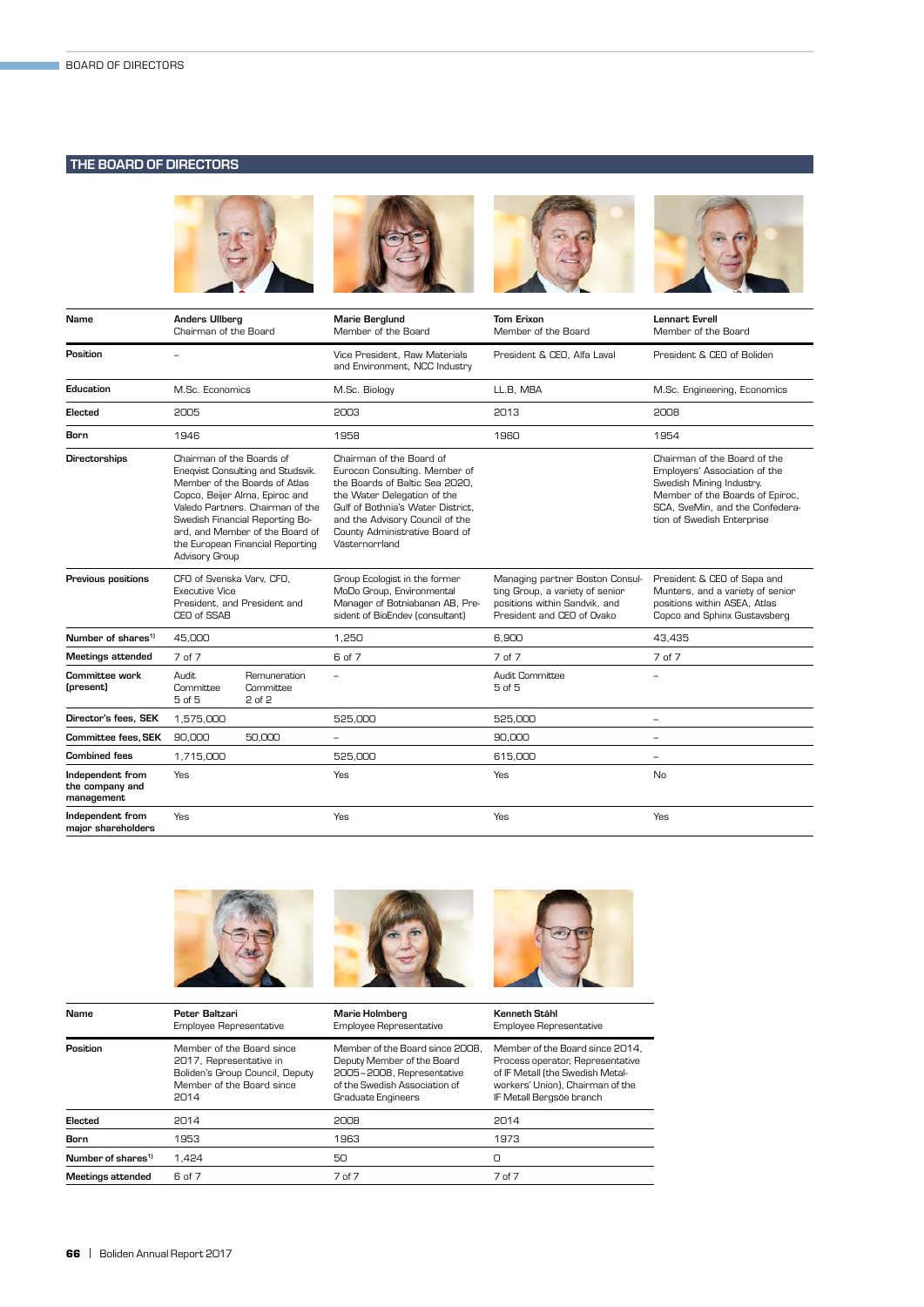## THE BOARD OF DIRECTORS



| Name                                              | <b>Anders Ullberg</b><br>Chairman of the Board                                                                                                                                                                                                                                                    |                                     | <b>Marie Berglund</b><br>Member of the Board                                                                                                                                                                                                           | <b>Tom Erixon</b><br>Member of the Board                                                                                          | <b>Lennart Evrell</b><br>Member of the Board                                                                                                                                                  |
|---------------------------------------------------|---------------------------------------------------------------------------------------------------------------------------------------------------------------------------------------------------------------------------------------------------------------------------------------------------|-------------------------------------|--------------------------------------------------------------------------------------------------------------------------------------------------------------------------------------------------------------------------------------------------------|-----------------------------------------------------------------------------------------------------------------------------------|-----------------------------------------------------------------------------------------------------------------------------------------------------------------------------------------------|
| Position                                          | $\overline{\phantom{a}}$                                                                                                                                                                                                                                                                          |                                     | Vice President, Raw Materials<br>and Environment, NCC Industry                                                                                                                                                                                         | President & CEO, Alfa Laval                                                                                                       | President & CEO of Boliden                                                                                                                                                                    |
| Education                                         | M.Sc. Economics                                                                                                                                                                                                                                                                                   |                                     | M.Sc. Biology                                                                                                                                                                                                                                          | LL.B. MBA                                                                                                                         | M.Sc. Engineering, Economics                                                                                                                                                                  |
| Elected                                           | 2005                                                                                                                                                                                                                                                                                              |                                     | 2003                                                                                                                                                                                                                                                   | 2013                                                                                                                              | 2008                                                                                                                                                                                          |
| Born                                              | 1946                                                                                                                                                                                                                                                                                              |                                     | 1958                                                                                                                                                                                                                                                   | 1960                                                                                                                              | 1954                                                                                                                                                                                          |
| <b>Directorships</b>                              | Chairman of the Boards of<br>Eneqvist Consulting and Studsvik.<br>Member of the Boards of Atlas<br>Copco, Beijer Alma, Epiroc and<br>Valedo Partners. Chairman of the<br>Swedish Financial Reporting Bo-<br>ard, and Member of the Board of<br>the European Financial Reporting<br>Advisory Group |                                     | Chairman of the Board of<br>Eurocon Consulting. Member of<br>the Boards of Baltic Sea 2020,<br>the Water Delegation of the<br>Gulf of Bothnia's Water District.<br>and the Advisory Council of the<br>County Administrative Board of<br>Västernorrland |                                                                                                                                   | Chairman of the Board of the<br>Employers' Association of the<br>Swedish Mining Industry.<br>Member of the Boards of Epiroc,<br>SCA, SveMin, and the Confedera-<br>tion of Swedish Enterprise |
| Previous positions                                | CFO of Svenska Varv, CFO,<br><b>Executive Vice</b><br>President, and President and<br>CEO of SSAB                                                                                                                                                                                                 |                                     | Group Ecologist in the former<br>MoDo Group, Environmental<br>Manager of Botniabanan AB, Pre-<br>sident of BioEndev (consultant)                                                                                                                       | Managing partner Boston Consul-<br>ting Group, a variety of senior<br>positions within Sandvik, and<br>President and CEO of Ovako | President & CEO of Sapa and<br>Munters, and a variety of senior<br>positions within ASEA, Atlas<br>Copco and Sphinx Gustavsberg                                                               |
| Number of shares <sup>1)</sup>                    | 45,000                                                                                                                                                                                                                                                                                            |                                     | 1.250                                                                                                                                                                                                                                                  | 6.900                                                                                                                             | 43.435                                                                                                                                                                                        |
| <b>Meetings attended</b>                          | 7 of 7                                                                                                                                                                                                                                                                                            |                                     | 6 of 7                                                                                                                                                                                                                                                 | 7 of 7                                                                                                                            | 7 of 7                                                                                                                                                                                        |
| Committee work<br>(present)                       | Audit<br>Committee<br>5 of 5                                                                                                                                                                                                                                                                      | Remuneration<br>Committee<br>2 of 2 | $\equiv$                                                                                                                                                                                                                                               | Audit Committee<br>5 of 5                                                                                                         | $\equiv$                                                                                                                                                                                      |
| Director's fees. SEK                              | 1,575,000                                                                                                                                                                                                                                                                                         |                                     | 525,000                                                                                                                                                                                                                                                | 525,000                                                                                                                           | $\overline{\phantom{0}}$                                                                                                                                                                      |
| <b>Committee fees, SEK</b>                        | 90,000                                                                                                                                                                                                                                                                                            | 50,000                              | -                                                                                                                                                                                                                                                      | 90,000                                                                                                                            | $\overline{\phantom{0}}$                                                                                                                                                                      |
| <b>Combined fees</b>                              | 1,715,000                                                                                                                                                                                                                                                                                         |                                     | 525,000                                                                                                                                                                                                                                                | 615,000                                                                                                                           | $\overline{\phantom{a}}$                                                                                                                                                                      |
| Independent from<br>the company and<br>management | Yes                                                                                                                                                                                                                                                                                               |                                     | Yes                                                                                                                                                                                                                                                    | Yes                                                                                                                               | No                                                                                                                                                                                            |
| Independent from<br>maior shareholders            | Yes                                                                                                                                                                                                                                                                                               |                                     | Yes                                                                                                                                                                                                                                                    | Yes                                                                                                                               | Yes                                                                                                                                                                                           |



| Name                           | Peter Baltzari<br>Employee Representative                                                                                    | Marie Holmberg<br>Employee Representative                                                                                                         | Kenneth Ståhl<br>Employee Representative                                                                                                                                |
|--------------------------------|------------------------------------------------------------------------------------------------------------------------------|---------------------------------------------------------------------------------------------------------------------------------------------------|-------------------------------------------------------------------------------------------------------------------------------------------------------------------------|
| Position                       | Member of the Board since<br>2017, Representative in<br>Boliden's Group Council, Deputy<br>Member of the Board since<br>2014 | Member of the Board since 2008.<br>Deputy Member of the Board<br>2005-2008, Representative<br>of the Swedish Association of<br>Graduate Engineers | Member of the Board since 2014.<br>Process operator, Representative<br>of IF Metall (the Swedish Metal-<br>workers' Union), Chairman of the<br>IF Metall Bergsöe branch |
| Elected                        | 2014                                                                                                                         | 2008                                                                                                                                              | 2014                                                                                                                                                                    |
| <b>Born</b>                    | 1953                                                                                                                         | 1963                                                                                                                                              | 1973                                                                                                                                                                    |
| Number of shares <sup>1)</sup> | 1.424                                                                                                                        | 50                                                                                                                                                | O                                                                                                                                                                       |
| Meetings attended              | 6 of 7                                                                                                                       | 7 of 7                                                                                                                                            | 7 of 7                                                                                                                                                                  |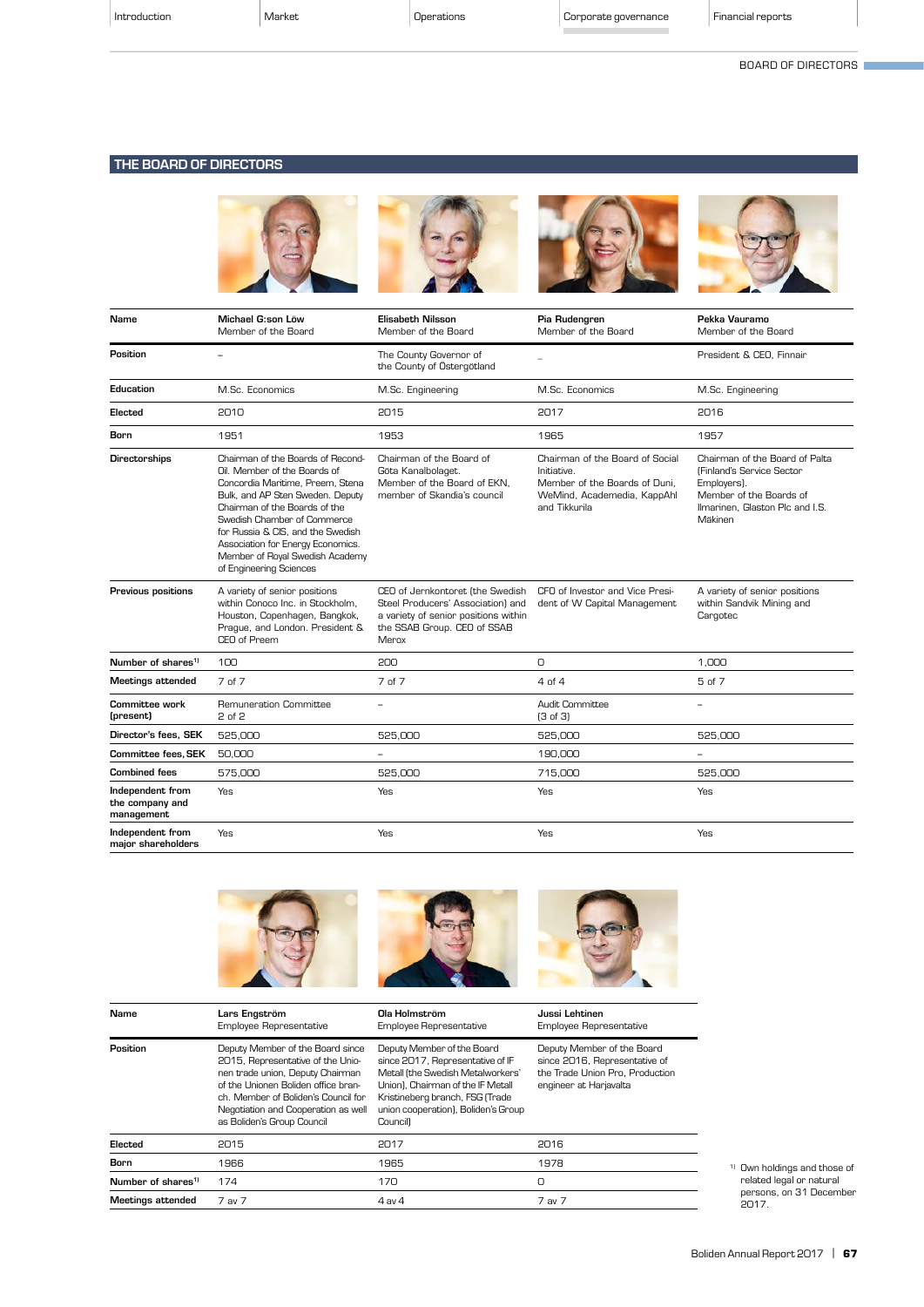| Introduction |  |
|--------------|--|
|              |  |

BOARD OF DIRECTORS

# THE BOARD OF DIRECTORS



| Name                                              | Michael G:son Löw<br>Member of the Board                                                                                                                                                                                                                                                                                                          | <b>Elisabeth Nilsson</b><br>Member of the Board                                                                                                       | Pia Rudengren<br>Member of the Board                                                                                            | Pekka Vauramo<br>Member of the Board                                                                                                                        |
|---------------------------------------------------|---------------------------------------------------------------------------------------------------------------------------------------------------------------------------------------------------------------------------------------------------------------------------------------------------------------------------------------------------|-------------------------------------------------------------------------------------------------------------------------------------------------------|---------------------------------------------------------------------------------------------------------------------------------|-------------------------------------------------------------------------------------------------------------------------------------------------------------|
| Position                                          | $\equiv$                                                                                                                                                                                                                                                                                                                                          | The County Governor of<br>the County of Östergötland                                                                                                  | ÷.                                                                                                                              | President & CEO, Finnair                                                                                                                                    |
| Education                                         | M.Sc. Economics                                                                                                                                                                                                                                                                                                                                   | M.Sc. Engineering                                                                                                                                     | M.Sc. Economics                                                                                                                 | M.Sc. Engineering                                                                                                                                           |
| Elected                                           | 2010                                                                                                                                                                                                                                                                                                                                              | 2015                                                                                                                                                  | 2017                                                                                                                            | 2016                                                                                                                                                        |
| Born                                              | 1951                                                                                                                                                                                                                                                                                                                                              | 1953                                                                                                                                                  | 1965                                                                                                                            | 1957                                                                                                                                                        |
| Directorships                                     | Chairman of the Boards of Recond-<br>Oil. Member of the Boards of<br>Concordia Maritime, Preem, Stena<br>Bulk, and AP Sten Sweden. Deputy<br>Chairman of the Boards of the<br>Swedish Chamber of Commerce<br>for Russia & CIS, and the Swedish<br>Association for Energy Economics.<br>Member of Royal Swedish Academy<br>of Engineering Sciences | Chairman of the Board of<br>Göta Kanalbolaget.<br>Member of the Board of EKN,<br>member of Skandia's council                                          | Chairman of the Board of Social<br>Initiative.<br>Member of the Boards of Duni.<br>WeMind, Academedia, KappAhl<br>and Tikkurila | Chairman of the Board of Palta<br><b>(Finland's Service Sector)</b><br>Employers).<br>Member of the Boards of<br>Ilmarinen, Glaston Plc and I.S.<br>Mäkinen |
| Previous positions                                | A variety of senior positions<br>within Conoco Inc. in Stockholm.<br>Houston, Copenhagen, Bangkok,<br>Praque, and London. President &<br>CEO of Preem                                                                                                                                                                                             | CEO of Jernkontoret (the Swedish<br>Steel Producers' Association) and<br>a variety of senior positions within<br>the SSAB Group. CEO of SSAB<br>Merox | CFO of Investor and Vice Presi-<br>dent of W Capital Management                                                                 | A variety of senior positions<br>within Sandvik Mining and<br>Cargotec                                                                                      |
| Number of shares <sup>1)</sup>                    | 100                                                                                                                                                                                                                                                                                                                                               | 200                                                                                                                                                   | 0                                                                                                                               | 1,000                                                                                                                                                       |
| <b>Meetings attended</b>                          | 7 of 7                                                                                                                                                                                                                                                                                                                                            | 7 of 7                                                                                                                                                | 4nf4                                                                                                                            | 5 of 7                                                                                                                                                      |
| Committee work<br>(present)                       | Remuneration Committee<br>2 of 2                                                                                                                                                                                                                                                                                                                  | $\sim$                                                                                                                                                | Audit Committee<br>(3 of 3)                                                                                                     | $\overline{\phantom{0}}$                                                                                                                                    |
| Director's fees, SEK                              | 525,000                                                                                                                                                                                                                                                                                                                                           | 525,000                                                                                                                                               | 525,000                                                                                                                         | 525,000                                                                                                                                                     |
| Committee fees, SEK                               | 50,000                                                                                                                                                                                                                                                                                                                                            | $\overline{\phantom{a}}$                                                                                                                              | 190,000                                                                                                                         | ÷,                                                                                                                                                          |
| <b>Combined fees</b>                              | 575,000                                                                                                                                                                                                                                                                                                                                           | 525.000                                                                                                                                               | 715,000                                                                                                                         | 525.000                                                                                                                                                     |
| Independent from<br>the company and<br>management | <b>Yes</b>                                                                                                                                                                                                                                                                                                                                        | Yes                                                                                                                                                   | Yes                                                                                                                             | Yes                                                                                                                                                         |
| Independent from<br>major shareholders            | Yes                                                                                                                                                                                                                                                                                                                                               | Yes                                                                                                                                                   | Yes                                                                                                                             | Yes                                                                                                                                                         |



| Name                           | Lars Engström<br><b>Employee Representative</b>                                                                                                                                                                                                              | Ola Holmström<br>Employee Representative                                                                                                                                                                                       | Jussi Lehtinen<br>Employee Representative                                                                                |
|--------------------------------|--------------------------------------------------------------------------------------------------------------------------------------------------------------------------------------------------------------------------------------------------------------|--------------------------------------------------------------------------------------------------------------------------------------------------------------------------------------------------------------------------------|--------------------------------------------------------------------------------------------------------------------------|
| Position                       | Deputy Member of the Board since<br>2015, Representative of the Unio-<br>nen trade union, Deputy Chairman<br>of the Unionen Boliden office bran-<br>ch. Member of Boliden's Council for<br>Negotiation and Cooperation as well<br>as Boliden's Group Council | Deputy Member of the Board<br>since 2017, Representative of IF<br>Metall (the Swedish Metalworkers'<br>Union). Chairman of the IF Metall<br>Kristineberg branch, FSG (Trade<br>union cooperation), Boliden's Group<br>Council) | Deputy Member of the Board<br>since 2016, Representative of<br>the Trade Union Pro, Production<br>engineer at Harjavalta |
| Elected                        | 2015                                                                                                                                                                                                                                                         | 2017                                                                                                                                                                                                                           | 2016                                                                                                                     |
| Born                           | 1966                                                                                                                                                                                                                                                         | 1965                                                                                                                                                                                                                           | 1978                                                                                                                     |
| Number of shares <sup>1)</sup> | 174                                                                                                                                                                                                                                                          | 170                                                                                                                                                                                                                            | O                                                                                                                        |
| <b>Meetings attended</b>       | 7 av 7                                                                                                                                                                                                                                                       | $4$ av $4$                                                                                                                                                                                                                     | 7 av 7                                                                                                                   |

1) Own holdings and those of related legal or natural persons, on 31 December 2017.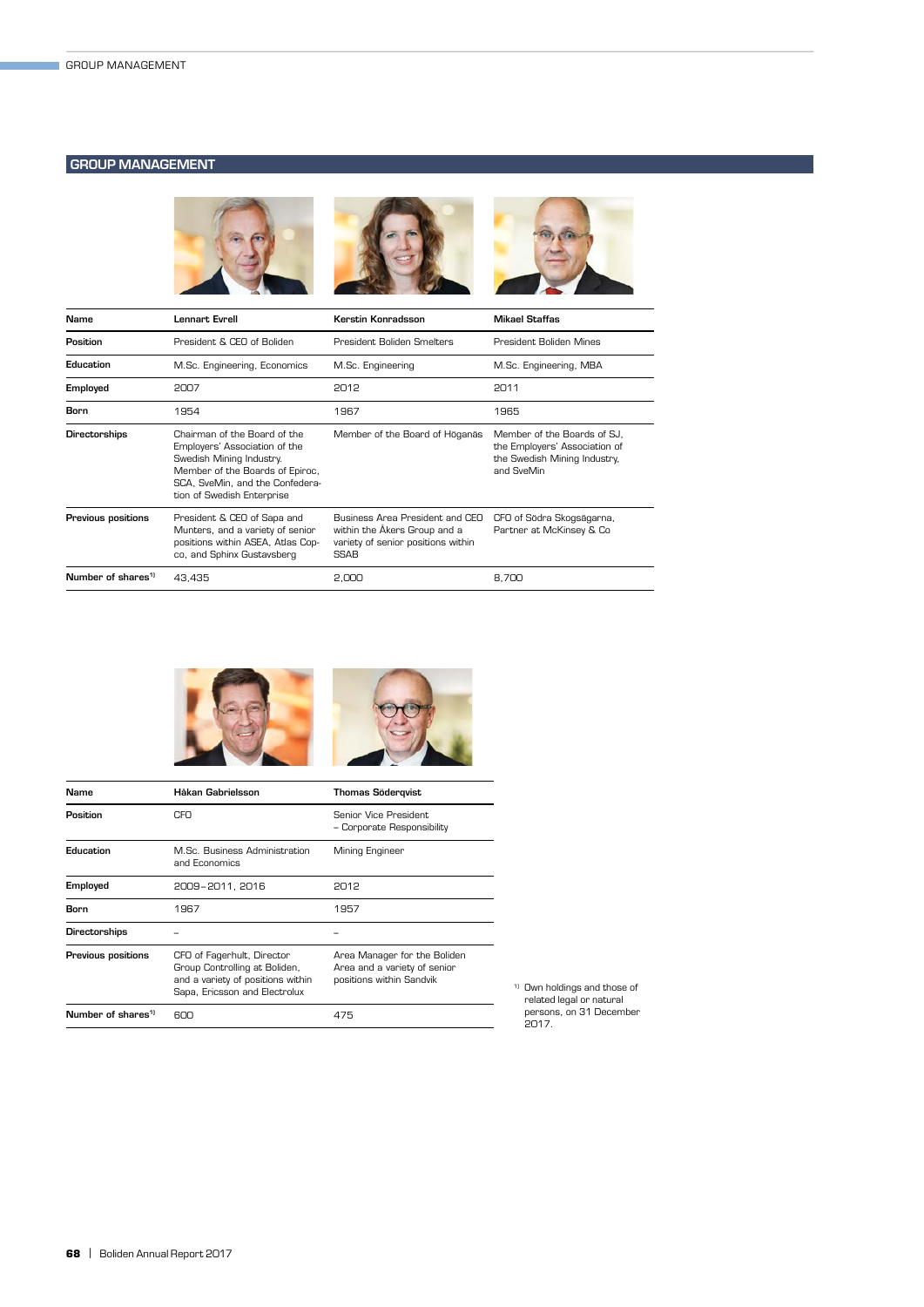# GROUP MANAGEMENT



| <b>Name</b>                    | Lennart Evrell                                                                                                                                                                                | Kerstin Konradsson                                                                                            | <b>Mikael Staffas</b>                                                                                      |
|--------------------------------|-----------------------------------------------------------------------------------------------------------------------------------------------------------------------------------------------|---------------------------------------------------------------------------------------------------------------|------------------------------------------------------------------------------------------------------------|
| Position                       | President & CEO of Boliden                                                                                                                                                                    | President Boliden Smelters                                                                                    | President Boliden Mines                                                                                    |
| Education                      | M.Sc. Engineering, Economics                                                                                                                                                                  | M.Sc. Engineering                                                                                             | M.Sc. Engineering, MBA                                                                                     |
| Employed                       | 2007                                                                                                                                                                                          | 2012                                                                                                          | 2011                                                                                                       |
| Born                           | 1954                                                                                                                                                                                          | 1967                                                                                                          | 1965                                                                                                       |
| Directorships                  | Chairman of the Board of the<br>Employers' Association of the<br>Swedish Mining Industry.<br>Member of the Boards of Epiroc,<br>SCA, SveMin, and the Confedera-<br>tion of Swedish Enterprise | Member of the Board of Höganäs                                                                                | Member of the Boards of SJ.<br>the Employers' Association of<br>the Swedish Mining Industry,<br>and SveMin |
| Previous positions             | President & CEO of Sapa and<br>Munters, and a variety of senior<br>positions within ASEA, Atlas Cop-<br>co, and Sphinx Gustavsberg                                                            | Business Area President and CEO<br>within the Åkers Group and a<br>variety of senior positions within<br>SSAB | CFO of Södra Skogsägarna,<br>Partner at McKinsey & Co                                                      |
| Number of shares <sup>1)</sup> | 43.435                                                                                                                                                                                        | 2.000                                                                                                         | 8.700                                                                                                      |



| Name                           | Håkan Gabrielsson                                                                                                                 | <b>Thomas Södergvist</b>                                                                 |
|--------------------------------|-----------------------------------------------------------------------------------------------------------------------------------|------------------------------------------------------------------------------------------|
| Position                       | CFO                                                                                                                               | Senior Vice President.<br>- Corporate Responsibility                                     |
| Education                      | M.Sc. Business Administration<br>and Economics                                                                                    | Mining Engineer                                                                          |
| Employed                       | 2009-2011, 2016                                                                                                                   | 2012                                                                                     |
| Born                           | 1967                                                                                                                              | 1957                                                                                     |
| Directorships                  |                                                                                                                                   |                                                                                          |
| Previous positions             | CFO of Fagerhult, Director<br>Group Controlling at Boliden,<br>and a variety of positions within<br>Sapa, Ericsson and Electrolux | Area Manager for the Boliden<br>Area and a variety of senior<br>positions within Sandvik |
| Number of shares <sup>1)</sup> | 600                                                                                                                               | 475                                                                                      |

1) Own holdings and those of related legal or natural persons, on 31 December 2017.